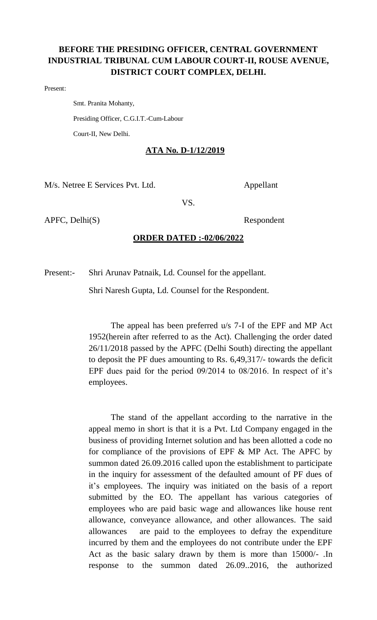# **BEFORE THE PRESIDING OFFICER, CENTRAL GOVERNMENT INDUSTRIAL TRIBUNAL CUM LABOUR COURT-II, ROUSE AVENUE, DISTRICT COURT COMPLEX, DELHI.**

Present:

 Smt. Pranita Mohanty, Presiding Officer, C.G.I.T.-Cum-Labour Court-II, New Delhi.

# **ATA No. D-1/12/2019**

M/s. Netree E Services Pvt. Ltd. Appellant

VS.

APFC, Delhi(S) Respondent

# **ORDER DATED :-02/06/2022**

Present:- Shri Arunav Patnaik, Ld. Counsel for the appellant.

Shri Naresh Gupta, Ld. Counsel for the Respondent.

The appeal has been preferred u/s 7-I of the EPF and MP Act 1952(herein after referred to as the Act). Challenging the order dated 26/11/2018 passed by the APFC (Delhi South) directing the appellant to deposit the PF dues amounting to Rs. 6,49,317/- towards the deficit EPF dues paid for the period 09/2014 to 08/2016. In respect of it's employees.

The stand of the appellant according to the narrative in the appeal memo in short is that it is a Pvt. Ltd Company engaged in the business of providing Internet solution and has been allotted a code no for compliance of the provisions of EPF & MP Act. The APFC by summon dated 26.09.2016 called upon the establishment to participate in the inquiry for assessment of the defaulted amount of PF dues of it's employees. The inquiry was initiated on the basis of a report submitted by the EO. The appellant has various categories of employees who are paid basic wage and allowances like house rent allowance, conveyance allowance, and other allowances. The said allowances are paid to the employees to defray the expenditure incurred by them and the employees do not contribute under the EPF Act as the basic salary drawn by them is more than 15000/- .In response to the summon dated 26.09..2016, the authorized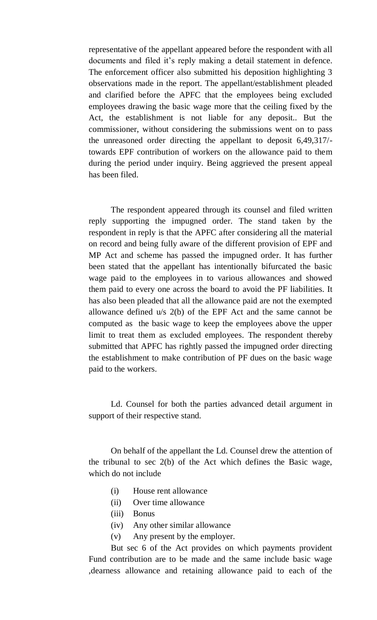representative of the appellant appeared before the respondent with all documents and filed it's reply making a detail statement in defence. The enforcement officer also submitted his deposition highlighting 3 observations made in the report. The appellant/establishment pleaded and clarified before the APFC that the employees being excluded employees drawing the basic wage more that the ceiling fixed by the Act, the establishment is not liable for any deposit.. But the commissioner, without considering the submissions went on to pass the unreasoned order directing the appellant to deposit 6,49,317/ towards EPF contribution of workers on the allowance paid to them during the period under inquiry. Being aggrieved the present appeal has been filed.

The respondent appeared through its counsel and filed written reply supporting the impugned order. The stand taken by the respondent in reply is that the APFC after considering all the material on record and being fully aware of the different provision of EPF and MP Act and scheme has passed the impugned order. It has further been stated that the appellant has intentionally bifurcated the basic wage paid to the employees in to various allowances and showed them paid to every one across the board to avoid the PF liabilities. It has also been pleaded that all the allowance paid are not the exempted allowance defined u/s 2(b) of the EPF Act and the same cannot be computed as the basic wage to keep the employees above the upper limit to treat them as excluded employees. The respondent thereby submitted that APFC has rightly passed the impugned order directing the establishment to make contribution of PF dues on the basic wage paid to the workers.

Ld. Counsel for both the parties advanced detail argument in support of their respective stand.

On behalf of the appellant the Ld. Counsel drew the attention of the tribunal to sec 2(b) of the Act which defines the Basic wage, which do not include

- (i) House rent allowance
- (ii) Over time allowance
- (iii) Bonus
- (iv) Any other similar allowance
- (v) Any present by the employer.

But sec 6 of the Act provides on which payments provident Fund contribution are to be made and the same include basic wage ,dearness allowance and retaining allowance paid to each of the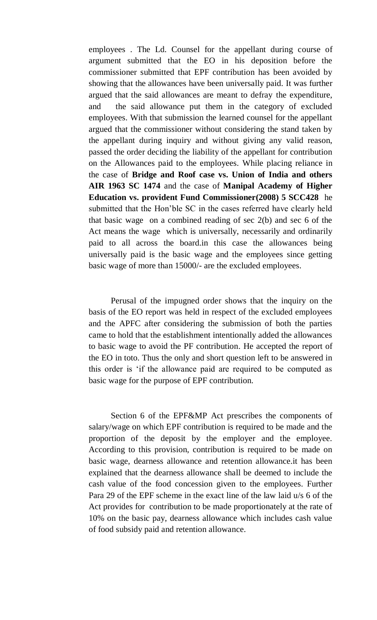employees . The Ld. Counsel for the appellant during course of argument submitted that the EO in his deposition before the commissioner submitted that EPF contribution has been avoided by showing that the allowances have been universally paid. It was further argued that the said allowances are meant to defray the expenditure, and the said allowance put them in the category of excluded employees. With that submission the learned counsel for the appellant argued that the commissioner without considering the stand taken by the appellant during inquiry and without giving any valid reason, passed the order deciding the liability of the appellant for contribution on the Allowances paid to the employees. While placing reliance in the case of **Bridge and Roof case vs. Union of India and others AIR 1963 SC 1474** and the case of **Manipal Academy of Higher Education vs. provident Fund Commissioner(2008) 5 SCC428** he submitted that the Hon'ble SC in the cases referred have clearly held that basic wage on a combined reading of sec 2(b) and sec 6 of the Act means the wage which is universally, necessarily and ordinarily paid to all across the board.in this case the allowances being universally paid is the basic wage and the employees since getting basic wage of more than 15000/- are the excluded employees.

Perusal of the impugned order shows that the inquiry on the basis of the EO report was held in respect of the excluded employees and the APFC after considering the submission of both the parties came to hold that the establishment intentionally added the allowances to basic wage to avoid the PF contribution. He accepted the report of the EO in toto. Thus the only and short question left to be answered in this order is 'if the allowance paid are required to be computed as basic wage for the purpose of EPF contribution.

Section 6 of the EPF&MP Act prescribes the components of salary/wage on which EPF contribution is required to be made and the proportion of the deposit by the employer and the employee. According to this provision, contribution is required to be made on basic wage, dearness allowance and retention allowance.it has been explained that the dearness allowance shall be deemed to include the cash value of the food concession given to the employees. Further Para 29 of the EPF scheme in the exact line of the law laid u/s 6 of the Act provides for contribution to be made proportionately at the rate of 10% on the basic pay, dearness allowance which includes cash value of food subsidy paid and retention allowance.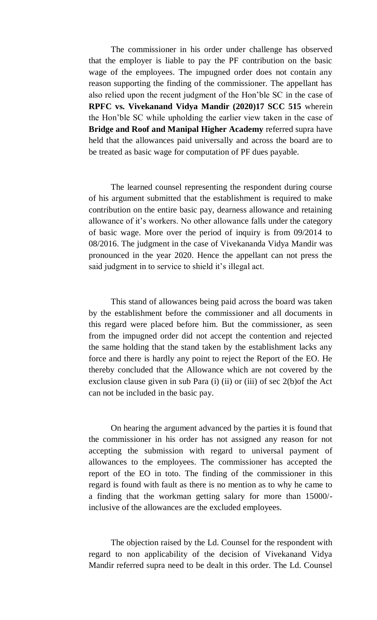The commissioner in his order under challenge has observed that the employer is liable to pay the PF contribution on the basic wage of the employees. The impugned order does not contain any reason supporting the finding of the commissioner. The appellant has also relied upon the recent judgment of the Hon'ble SC in the case of **RPFC vs. Vivekanand Vidya Mandir (2020)17 SCC 515** wherein the Hon'ble SC while upholding the earlier view taken in the case of **Bridge and Roof and Manipal Higher Academy** referred supra have held that the allowances paid universally and across the board are to be treated as basic wage for computation of PF dues payable.

The learned counsel representing the respondent during course of his argument submitted that the establishment is required to make contribution on the entire basic pay, dearness allowance and retaining allowance of it's workers. No other allowance falls under the category of basic wage. More over the period of inquiry is from 09/2014 to 08/2016. The judgment in the case of Vivekananda Vidya Mandir was pronounced in the year 2020. Hence the appellant can not press the said judgment in to service to shield it's illegal act.

This stand of allowances being paid across the board was taken by the establishment before the commissioner and all documents in this regard were placed before him. But the commissioner, as seen from the impugned order did not accept the contention and rejected the same holding that the stand taken by the establishment lacks any force and there is hardly any point to reject the Report of the EO. He thereby concluded that the Allowance which are not covered by the exclusion clause given in sub Para (i) (ii) or (iii) of sec 2(b)of the Act can not be included in the basic pay.

On hearing the argument advanced by the parties it is found that the commissioner in his order has not assigned any reason for not accepting the submission with regard to universal payment of allowances to the employees. The commissioner has accepted the report of the EO in toto. The finding of the commissioner in this regard is found with fault as there is no mention as to why he came to a finding that the workman getting salary for more than 15000/ inclusive of the allowances are the excluded employees.

The objection raised by the Ld. Counsel for the respondent with regard to non applicability of the decision of Vivekanand Vidya Mandir referred supra need to be dealt in this order. The Ld. Counsel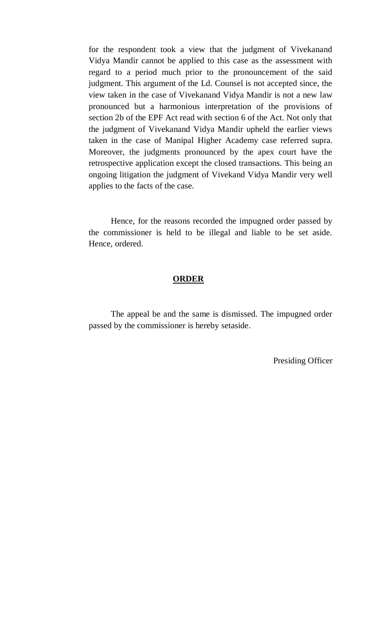for the respondent took a view that the judgment of Vivekanand Vidya Mandir cannot be applied to this case as the assessment with regard to a period much prior to the pronouncement of the said judgment. This argument of the Ld. Counsel is not accepted since, the view taken in the case of Vivekanand Vidya Mandir is not a new law pronounced but a harmonious interpretation of the provisions of section 2b of the EPF Act read with section 6 of the Act. Not only that the judgment of Vivekanand Vidya Mandir upheld the earlier views taken in the case of Manipal Higher Academy case referred supra. Moreover, the judgments pronounced by the apex court have the retrospective application except the closed transactions. This being an ongoing litigation the judgment of Vivekand Vidya Mandir very well applies to the facts of the case.

Hence, for the reasons recorded the impugned order passed by the commissioner is held to be illegal and liable to be set aside. Hence, ordered.

# **ORDER**

The appeal be and the same is dismissed. The impugned order passed by the commissioner is hereby setaside.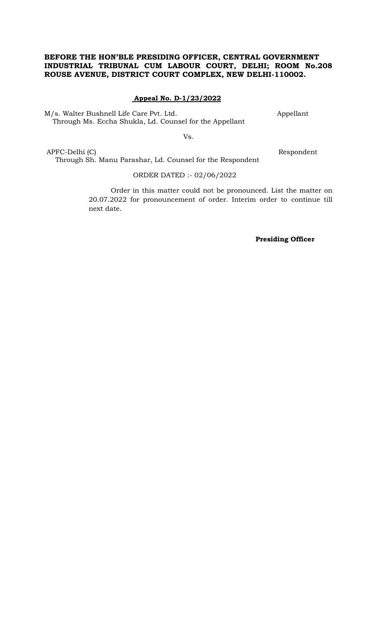#### **Appeal No. D-1/23/2022**

M/s. Walter Bushnell Life Care Pvt. Ltd. Appellant Through Ms. Eccha Shukla, Ld. Counsel for the Appellant

Vs.

APFC-Delhi (C) Respondent Through Sh. Manu Parashar, Ld. Counsel for the Respondent

## ORDER DATED :- 02/06/2022

Order in this matter could not be pronounced. List the matter on 20.07.2022 for pronouncement of order. Interim order to continue till next date.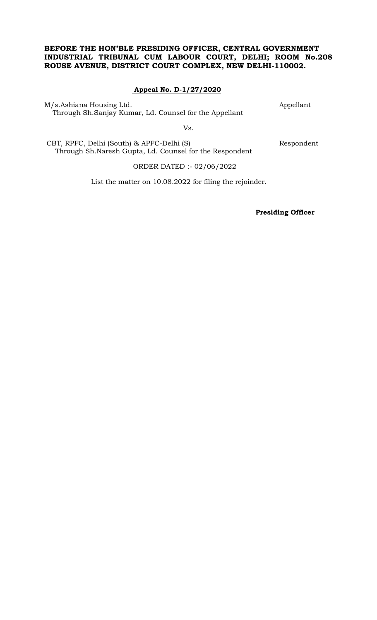# **Appeal No. D-1/27/2020**

M/s.Ashiana Housing Ltd. Appellant Through Sh.Sanjay Kumar, Ld. Counsel for the Appellant

Vs.

CBT, RPFC, Delhi (South) & APFC-Delhi (S) Respondent Through Sh.Naresh Gupta, Ld. Counsel for the Respondent

ORDER DATED :- 02/06/2022

List the matter on 10.08.2022 for filing the rejoinder.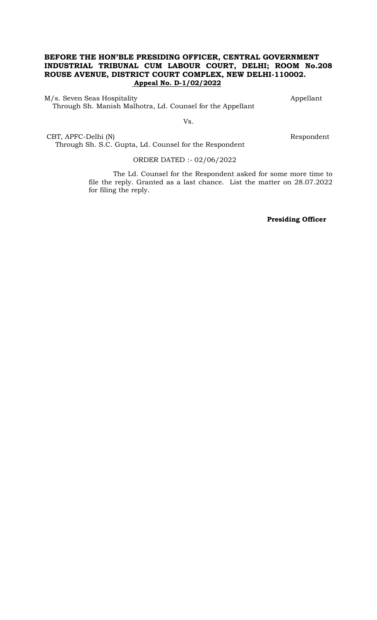M/s. Seven Seas Hospitality Appellant Through Sh. Manish Malhotra, Ld. Counsel for the Appellant

Vs.

CBT, APFC-Delhi (N) Respondent Through Sh. S.C. Gupta, Ld. Counsel for the Respondent

### ORDER DATED :- 02/06/2022

The Ld. Counsel for the Respondent asked for some more time to file the reply. Granted as a last chance. List the matter on 28.07.2022 for filing the reply.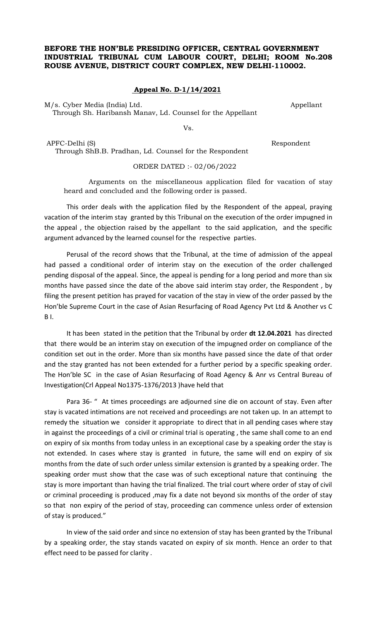# **Appeal No. D-1/14/2021**

M/s. Cyber Media (India) Ltd. Appellant Through Sh. Haribansh Manav, Ld. Counsel for the Appellant

Vs.

APFC-Delhi (S) Respondent Through ShB.B. Pradhan, Ld. Counsel for the Respondent

#### ORDER DATED :- 02/06/2022

Arguments on the miscellaneous application filed for vacation of stay heard and concluded and the following order is passed.

This order deals with the application filed by the Respondent of the appeal, praying vacation of the interim stay granted by this Tribunal on the execution of the order impugned in the appeal , the objection raised by the appellant to the said application, and the specific argument advanced by the learned counsel for the respective parties.

Perusal of the record shows that the Tribunal, at the time of admission of the appeal had passed a conditional order of interim stay on the execution of the order challenged pending disposal of the appeal. Since, the appeal is pending for a long period and more than six months have passed since the date of the above said interim stay order, the Respondent , by filing the present petition has prayed for vacation of the stay in view of the order passed by the Hon'ble Supreme Court in the case of Asian Resurfacing of Road Agency Pvt Ltd & Another vs C  $B<sub>1</sub>$ .

It has been stated in the petition that the Tribunal by order **dt 12.04.2021** has directed that there would be an interim stay on execution of the impugned order on compliance of the condition set out in the order. More than six months have passed since the date of that order and the stay granted has not been extended for a further period by a specific speaking order. The Hon'ble SC in the case of Asian Resurfacing of Road Agency & Anr vs Central Bureau of Investigation(Crl Appeal No1375-1376/2013 )have held that

Para 36- " At times proceedings are adjourned sine die on account of stay. Even after stay is vacated intimations are not received and proceedings are not taken up. In an attempt to remedy the situation we consider it appropriate to direct that in all pending cases where stay in against the proceedings of a civil or criminal trial is operating , the same shall come to an end on expiry of six months from today unless in an exceptional case by a speaking order the stay is not extended. In cases where stay is granted in future, the same will end on expiry of six months from the date of such order unless similar extension is granted by a speaking order. The speaking order must show that the case was of such exceptional nature that continuing the stay is more important than having the trial finalized. The trial court where order of stay of civil or criminal proceeding is produced ,may fix a date not beyond six months of the order of stay so that non expiry of the period of stay, proceeding can commence unless order of extension of stay is produced."

In view of the said order and since no extension of stay has been granted by the Tribunal by a speaking order, the stay stands vacated on expiry of six month. Hence an order to that effect need to be passed for clarity .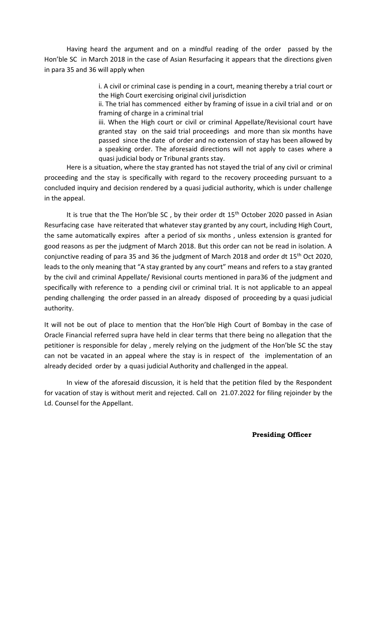Having heard the argument and on a mindful reading of the order passed by the Hon'ble SC in March 2018 in the case of Asian Resurfacing it appears that the directions given in para 35 and 36 will apply when

> i. A civil or criminal case is pending in a court, meaning thereby a trial court or the High Court exercising original civil jurisdiction

> ii. The trial has commenced either by framing of issue in a civil trial and or on framing of charge in a criminal trial

> iii. When the High court or civil or criminal Appellate/Revisional court have granted stay on the said trial proceedings and more than six months have passed since the date of order and no extension of stay has been allowed by a speaking order. The aforesaid directions will not apply to cases where a quasi judicial body or Tribunal grants stay.

Here is a situation, where the stay granted has not stayed the trial of any civil or criminal proceeding and the stay is specifically with regard to the recovery proceeding pursuant to a concluded inquiry and decision rendered by a quasi judicial authority, which is under challenge in the appeal.

It is true that the The Hon'ble SC, by their order dt  $15<sup>th</sup>$  October 2020 passed in Asian Resurfacing case have reiterated that whatever stay granted by any court, including High Court, the same automatically expires after a period of six months , unless extension is granted for good reasons as per the judgment of March 2018. But this order can not be read in isolation. A conjunctive reading of para 35 and 36 the judgment of March 2018 and order dt 15<sup>th</sup> Oct 2020, leads to the only meaning that "A stay granted by any court" means and refers to a stay granted by the civil and criminal Appellate/ Revisional courts mentioned in para36 of the judgment and specifically with reference to a pending civil or criminal trial. It is not applicable to an appeal pending challenging the order passed in an already disposed of proceeding by a quasi judicial authority.

It will not be out of place to mention that the Hon'ble High Court of Bombay in the case of Oracle Financial referred supra have held in clear terms that there being no allegation that the petitioner is responsible for delay , merely relying on the judgment of the Hon'ble SC the stay can not be vacated in an appeal where the stay is in respect of the implementation of an already decided order by a quasi judicial Authority and challenged in the appeal.

In view of the aforesaid discussion, it is held that the petition filed by the Respondent for vacation of stay is without merit and rejected. Call on 21.07.2022 for filing rejoinder by the Ld. Counsel for the Appellant.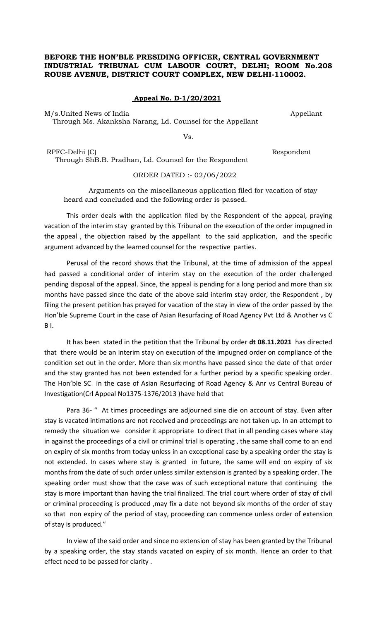#### **Appeal No. D-1/20/2021**

M/s.United News of India Appellant Through Ms. Akanksha Narang, Ld. Counsel for the Appellant

Vs.

RPFC-Delhi (C) Respondent

Through ShB.B. Pradhan, Ld. Counsel for the Respondent

#### ORDER DATED :- 02/06/2022

Arguments on the miscellaneous application filed for vacation of stay heard and concluded and the following order is passed.

This order deals with the application filed by the Respondent of the appeal, praying vacation of the interim stay granted by this Tribunal on the execution of the order impugned in the appeal , the objection raised by the appellant to the said application, and the specific argument advanced by the learned counsel for the respective parties.

Perusal of the record shows that the Tribunal, at the time of admission of the appeal had passed a conditional order of interim stay on the execution of the order challenged pending disposal of the appeal. Since, the appeal is pending for a long period and more than six months have passed since the date of the above said interim stay order, the Respondent , by filing the present petition has prayed for vacation of the stay in view of the order passed by the Hon'ble Supreme Court in the case of Asian Resurfacing of Road Agency Pvt Ltd & Another vs C  $B<sub>1</sub>$ .

It has been stated in the petition that the Tribunal by order **dt 08.11.2021** has directed that there would be an interim stay on execution of the impugned order on compliance of the condition set out in the order. More than six months have passed since the date of that order and the stay granted has not been extended for a further period by a specific speaking order. The Hon'ble SC in the case of Asian Resurfacing of Road Agency & Anr vs Central Bureau of Investigation(Crl Appeal No1375-1376/2013 )have held that

Para 36- " At times proceedings are adjourned sine die on account of stay. Even after stay is vacated intimations are not received and proceedings are not taken up. In an attempt to remedy the situation we consider it appropriate to direct that in all pending cases where stay in against the proceedings of a civil or criminal trial is operating , the same shall come to an end on expiry of six months from today unless in an exceptional case by a speaking order the stay is not extended. In cases where stay is granted in future, the same will end on expiry of six months from the date of such order unless similar extension is granted by a speaking order. The speaking order must show that the case was of such exceptional nature that continuing the stay is more important than having the trial finalized. The trial court where order of stay of civil or criminal proceeding is produced ,may fix a date not beyond six months of the order of stay so that non expiry of the period of stay, proceeding can commence unless order of extension of stay is produced."

In view of the said order and since no extension of stay has been granted by the Tribunal by a speaking order, the stay stands vacated on expiry of six month. Hence an order to that effect need to be passed for clarity .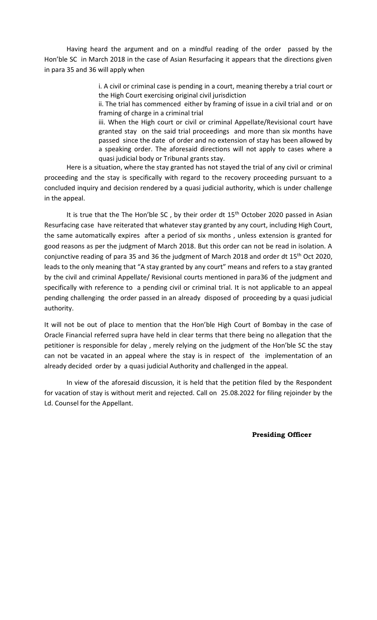Having heard the argument and on a mindful reading of the order passed by the Hon'ble SC in March 2018 in the case of Asian Resurfacing it appears that the directions given in para 35 and 36 will apply when

> i. A civil or criminal case is pending in a court, meaning thereby a trial court or the High Court exercising original civil jurisdiction

> ii. The trial has commenced either by framing of issue in a civil trial and or on framing of charge in a criminal trial

> iii. When the High court or civil or criminal Appellate/Revisional court have granted stay on the said trial proceedings and more than six months have passed since the date of order and no extension of stay has been allowed by a speaking order. The aforesaid directions will not apply to cases where a quasi judicial body or Tribunal grants stay.

Here is a situation, where the stay granted has not stayed the trial of any civil or criminal proceeding and the stay is specifically with regard to the recovery proceeding pursuant to a concluded inquiry and decision rendered by a quasi judicial authority, which is under challenge in the appeal.

It is true that the The Hon'ble SC, by their order dt  $15<sup>th</sup>$  October 2020 passed in Asian Resurfacing case have reiterated that whatever stay granted by any court, including High Court, the same automatically expires after a period of six months , unless extension is granted for good reasons as per the judgment of March 2018. But this order can not be read in isolation. A conjunctive reading of para 35 and 36 the judgment of March 2018 and order dt 15<sup>th</sup> Oct 2020, leads to the only meaning that "A stay granted by any court" means and refers to a stay granted by the civil and criminal Appellate/ Revisional courts mentioned in para36 of the judgment and specifically with reference to a pending civil or criminal trial. It is not applicable to an appeal pending challenging the order passed in an already disposed of proceeding by a quasi judicial authority.

It will not be out of place to mention that the Hon'ble High Court of Bombay in the case of Oracle Financial referred supra have held in clear terms that there being no allegation that the petitioner is responsible for delay , merely relying on the judgment of the Hon'ble SC the stay can not be vacated in an appeal where the stay is in respect of the implementation of an already decided order by a quasi judicial Authority and challenged in the appeal.

In view of the aforesaid discussion, it is held that the petition filed by the Respondent for vacation of stay is without merit and rejected. Call on 25.08.2022 for filing rejoinder by the Ld. Counsel for the Appellant.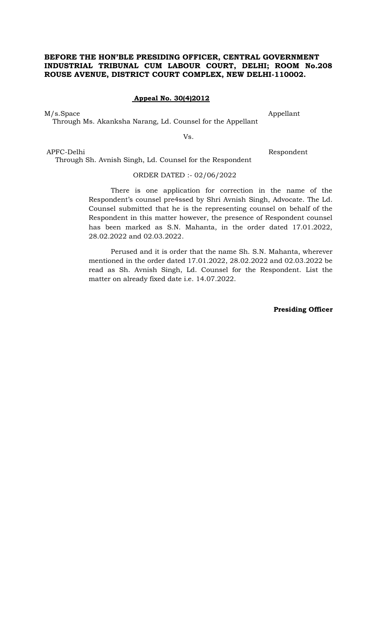#### **Appeal No. 30(4)2012**

M/s.Space Appellant

Through Ms. Akanksha Narang, Ld. Counsel for the Appellant

Vs.

APFC-Delhi Respondent

Through Sh. Avnish Singh, Ld. Counsel for the Respondent

#### ORDER DATED :- 02/06/2022

There is one application for correction in the name of the Respondent's counsel pre4ssed by Shri Avnish Singh, Advocate. The Ld. Counsel submitted that he is the representing counsel on behalf of the Respondent in this matter however, the presence of Respondent counsel has been marked as S.N. Mahanta, in the order dated 17.01.2022, 28.02.2022 and 02.03.2022.

Perused and it is order that the name Sh. S.N. Mahanta, wherever mentioned in the order dated 17.01.2022, 28.02.2022 and 02.03.2022 be read as Sh. Avnish Singh, Ld. Counsel for the Respondent. List the matter on already fixed date i.e. 14.07.2022.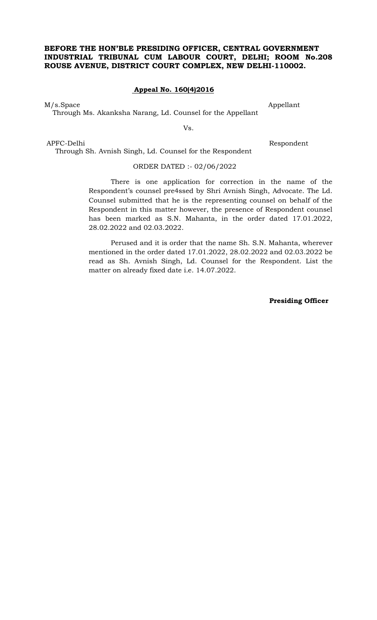## **Appeal No. 160(4)2016**

M/s.Space Appellant

Through Ms. Akanksha Narang, Ld. Counsel for the Appellant

Vs.

APFC-Delhi Respondent Through Sh. Avnish Singh, Ld. Counsel for the Respondent

#### ORDER DATED :- 02/06/2022

There is one application for correction in the name of the Respondent's counsel pre4ssed by Shri Avnish Singh, Advocate. The Ld. Counsel submitted that he is the representing counsel on behalf of the Respondent in this matter however, the presence of Respondent counsel has been marked as S.N. Mahanta, in the order dated 17.01.2022, 28.02.2022 and 02.03.2022.

Perused and it is order that the name Sh. S.N. Mahanta, wherever mentioned in the order dated 17.01.2022, 28.02.2022 and 02.03.2022 be read as Sh. Avnish Singh, Ld. Counsel for the Respondent. List the matter on already fixed date i.e. 14.07.2022.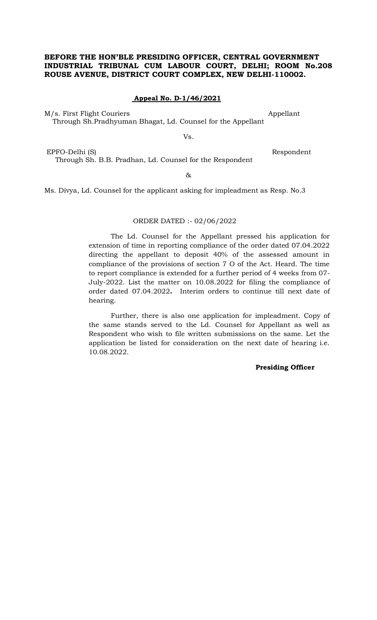#### **Appeal No. D-1/46/2021**

M/s. First Flight Couriers Appellant

Through Sh.Pradhyuman Bhagat, Ld. Counsel for the Appellant

Vs.

EPFO-Delhi (S) Respondent Through Sh. B.B. Pradhan, Ld. Counsel for the Respondent

#### &

Ms. Divya, Ld. Counsel for the applicant asking for impleadment as Resp. No.3

### ORDER DATED :- 02/06/2022

The Ld. Counsel for the Appellant pressed his application for extension of time in reporting compliance of the order dated 07.04.2022 directing the appellant to deposit 40% of the assessed amount in compliance of the provisions of section 7 O of the Act. Heard. The time to report compliance is extended for a further period of 4 weeks from 07- July-2022. List the matter on 10.08.2022 for filing the compliance of order dated 07.04.2022**.** Interim orders to continue till next date of hearing.

Further, there is also one application for impleadment. Copy of the same stands served to the Ld. Counsel for Appellant as well as Respondent who wish to file written submissions on the same. Let the application be listed for consideration on the next date of hearing i.e. 10.08.2022.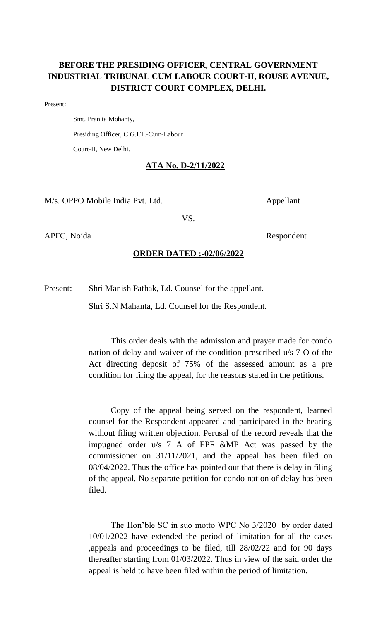# **BEFORE THE PRESIDING OFFICER, CENTRAL GOVERNMENT INDUSTRIAL TRIBUNAL CUM LABOUR COURT-II, ROUSE AVENUE, DISTRICT COURT COMPLEX, DELHI.**

Present:

Smt. Pranita Mohanty,

Presiding Officer, C.G.I.T.-Cum-Labour

Court-II, New Delhi.

# **ATA No. D-2/11/2022**

M/s. OPPO Mobile India Pvt. Ltd. Appellant

VS.

APFC, Noida Respondent

# **ORDER DATED :-02/06/2022**

Present:- Shri Manish Pathak, Ld. Counsel for the appellant.

Shri S.N Mahanta, Ld. Counsel for the Respondent.

This order deals with the admission and prayer made for condo nation of delay and waiver of the condition prescribed u/s 7 O of the Act directing deposit of 75% of the assessed amount as a pre condition for filing the appeal, for the reasons stated in the petitions.

Copy of the appeal being served on the respondent, learned counsel for the Respondent appeared and participated in the hearing without filing written objection. Perusal of the record reveals that the impugned order u/s 7 A of EPF &MP Act was passed by the commissioner on 31/11/2021, and the appeal has been filed on 08/04/2022. Thus the office has pointed out that there is delay in filing of the appeal. No separate petition for condo nation of delay has been filed.

The Hon'ble SC in suo motto WPC No 3/2020 by order dated 10/01/2022 have extended the period of limitation for all the cases ,appeals and proceedings to be filed, till 28/02/22 and for 90 days thereafter starting from 01/03/2022. Thus in view of the said order the appeal is held to have been filed within the period of limitation.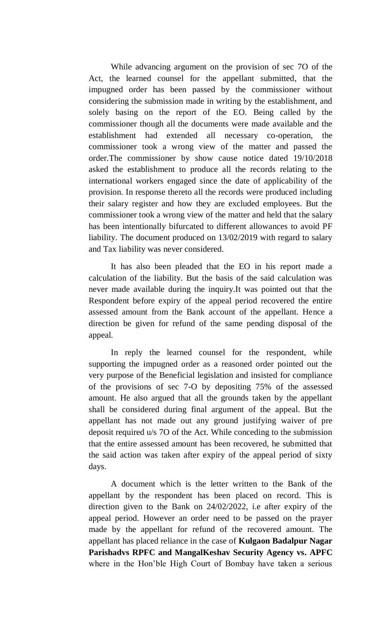While advancing argument on the provision of sec 7O of the Act, the learned counsel for the appellant submitted, that the impugned order has been passed by the commissioner without considering the submission made in writing by the establishment, and solely basing on the report of the EO. Being called by the commissioner though all the documents were made available and the establishment had extended all necessary co-operation, the commissioner took a wrong view of the matter and passed the order.The commissioner by show cause notice dated 19/10/2018 asked the establishment to produce all the records relating to the international workers engaged since the date of applicability of the provision. In response thereto all the records were produced including their salary register and how they are excluded employees. But the commissioner took a wrong view of the matter and held that the salary has been intentionally bifurcated to different allowances to avoid PF liability. The document produced on 13/02/2019 with regard to salary and Tax liability was never considered.

It has also been pleaded that the EO in his report made a calculation of the liability. But the basis of the said calculation was never made available during the inquiry.It was pointed out that the Respondent before expiry of the appeal period recovered the entire assessed amount from the Bank account of the appellant. Hence a direction be given for refund of the same pending disposal of the appeal.

In reply the learned counsel for the respondent, while supporting the impugned order as a reasoned order pointed out the very purpose of the Beneficial legislation and insisted for compliance of the provisions of sec 7-O by depositing 75% of the assessed amount. He also argued that all the grounds taken by the appellant shall be considered during final argument of the appeal. But the appellant has not made out any ground justifying waiver of pre deposit required u/s 7O of the Act. While conceding to the submission that the entire assessed amount has been recovered, he submitted that the said action was taken after expiry of the appeal period of sixty days.

A document which is the letter written to the Bank of the appellant by the respondent has been placed on record. This is direction given to the Bank on 24/02/2022, i.e after expiry of the appeal period. However an order need to be passed on the prayer made by the appellant for refund of the recovered amount. The appellant has placed reliance in the case of **Kulgaon Badalpur Nagar Parishadvs RPFC and MangalKeshav Security Agency vs. APFC** where in the Hon'ble High Court of Bombay have taken a serious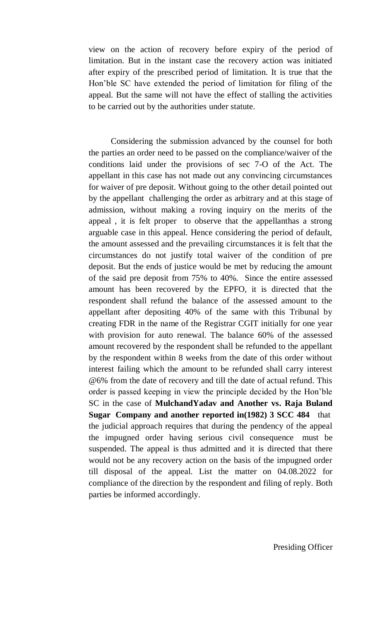view on the action of recovery before expiry of the period of limitation. But in the instant case the recovery action was initiated after expiry of the prescribed period of limitation. It is true that the Hon'ble SC have extended the period of limitation for filing of the appeal. But the same will not have the effect of stalling the activities to be carried out by the authorities under statute.

Considering the submission advanced by the counsel for both the parties an order need to be passed on the compliance/waiver of the conditions laid under the provisions of sec 7-O of the Act. The appellant in this case has not made out any convincing circumstances for waiver of pre deposit. Without going to the other detail pointed out by the appellant challenging the order as arbitrary and at this stage of admission, without making a roving inquiry on the merits of the appeal , it is felt proper to observe that the appellanthas a strong arguable case in this appeal. Hence considering the period of default, the amount assessed and the prevailing circumstances it is felt that the circumstances do not justify total waiver of the condition of pre deposit. But the ends of justice would be met by reducing the amount of the said pre deposit from 75% to 40%. Since the entire assessed amount has been recovered by the EPFO, it is directed that the respondent shall refund the balance of the assessed amount to the appellant after depositing 40% of the same with this Tribunal by creating FDR in the name of the Registrar CGIT initially for one year with provision for auto renewal. The balance 60% of the assessed amount recovered by the respondent shall be refunded to the appellant by the respondent within 8 weeks from the date of this order without interest failing which the amount to be refunded shall carry interest @6% from the date of recovery and till the date of actual refund. This order is passed keeping in view the principle decided by the Hon'ble SC in the case of **MulchandYadav and Another vs. Raja Buland Sugar Company and another reported in(1982) 3 SCC 484** that the judicial approach requires that during the pendency of the appeal the impugned order having serious civil consequence must be suspended. The appeal is thus admitted and it is directed that there would not be any recovery action on the basis of the impugned order till disposal of the appeal. List the matter on 04.08.2022 for compliance of the direction by the respondent and filing of reply. Both parties be informed accordingly.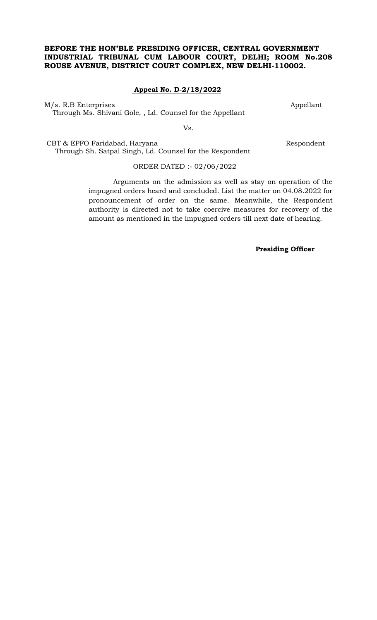# **Appeal No. D-2/18/2022**

M/s. R.B Enterprises Appellant Through Ms. Shivani Gole, , Ld. Counsel for the Appellant

Vs.

CBT & EPFO Faridabad, Haryana Respondent Through Sh. Satpal Singh, Ld. Counsel for the Respondent

# ORDER DATED :- 02/06/2022

Arguments on the admission as well as stay on operation of the impugned orders heard and concluded. List the matter on 04.08.2022 for pronouncement of order on the same. Meanwhile, the Respondent authority is directed not to take coercive measures for recovery of the amount as mentioned in the impugned orders till next date of hearing.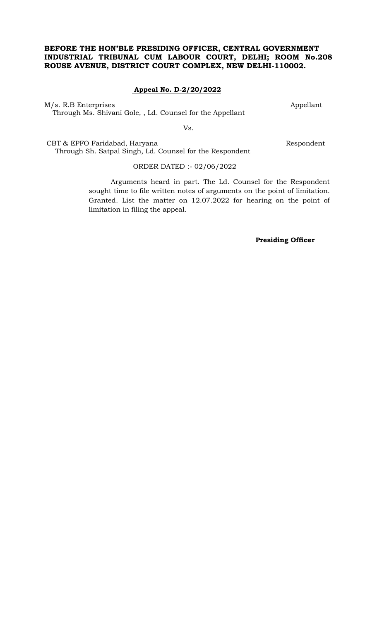# **Appeal No. D-2/20/2022**

M/s. R.B Enterprises Appellant Through Ms. Shivani Gole, , Ld. Counsel for the Appellant

Vs.

CBT & EPFO Faridabad, Haryana Respondent Through Sh. Satpal Singh, Ld. Counsel for the Respondent

# ORDER DATED :- 02/06/2022

Arguments heard in part. The Ld. Counsel for the Respondent sought time to file written notes of arguments on the point of limitation. Granted. List the matter on 12.07.2022 for hearing on the point of limitation in filing the appeal.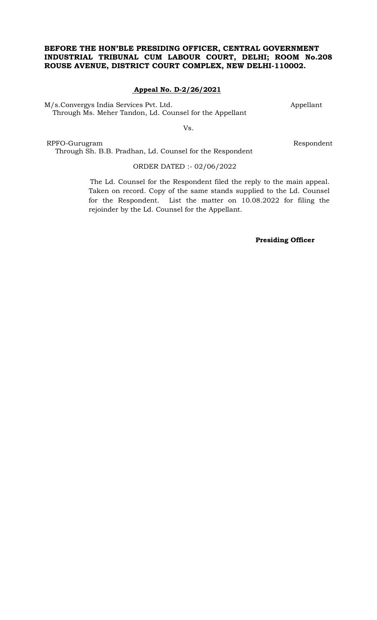# **Appeal No. D-2/26/2021**

M/s.Convergys India Services Pvt. Ltd. Appellant Through Ms. Meher Tandon, Ld. Counsel for the Appellant

Vs.

RPFO-Gurugram Respondent Through Sh. B.B. Pradhan, Ld. Counsel for the Respondent

#### ORDER DATED :- 02/06/2022

The Ld. Counsel for the Respondent filed the reply to the main appeal. Taken on record. Copy of the same stands supplied to the Ld. Counsel for the Respondent. List the matter on 10.08.2022 for filing the rejoinder by the Ld. Counsel for the Appellant.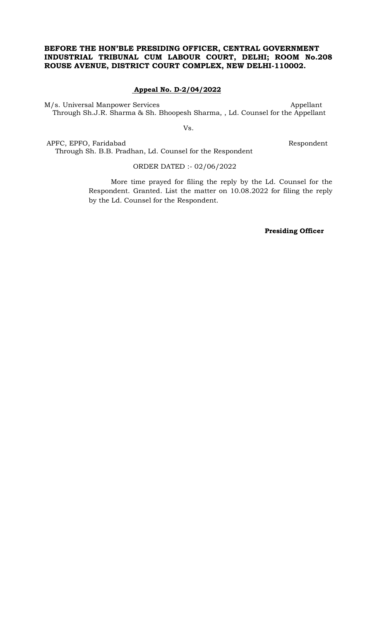# **Appeal No. D-2/04/2022**

M/s. Universal Manpower Services Appellant Through Sh.J.R. Sharma & Sh. Bhoopesh Sharma, , Ld. Counsel for the Appellant

Vs.

APFC, EPFO, Faridabad Respondent Through Sh. B.B. Pradhan, Ld. Counsel for the Respondent

### ORDER DATED :- 02/06/2022

More time prayed for filing the reply by the Ld. Counsel for the Respondent. Granted. List the matter on 10.08.2022 for filing the reply by the Ld. Counsel for the Respondent.